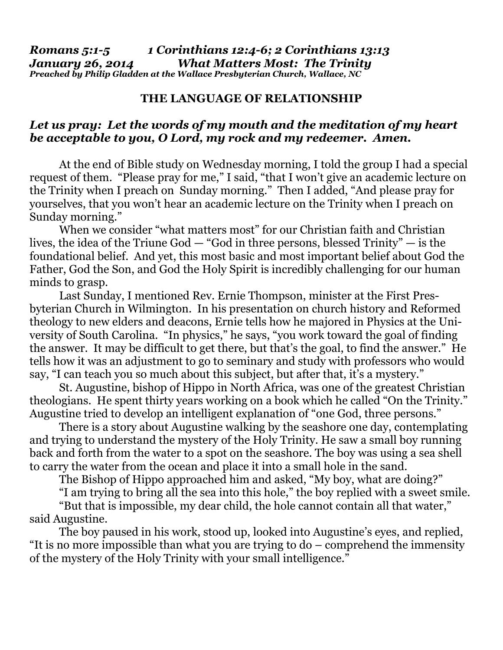## **THE LANGUAGE OF RELATIONSHIP**

## *Let us pray: Let the words of my mouth and the meditation of my heart be acceptable to you, O Lord, my rock and my redeemer. Amen.*

 At the end of Bible study on Wednesday morning, I told the group I had a special request of them. "Please pray for me," I said, "that I won't give an academic lecture on the Trinity when I preach on Sunday morning." Then I added, "And please pray for yourselves, that you won't hear an academic lecture on the Trinity when I preach on Sunday morning."

 When we consider "what matters most" for our Christian faith and Christian lives, the idea of the Triune God — "God in three persons, blessed Trinity" — is the foundational belief. And yet, this most basic and most important belief about God the Father, God the Son, and God the Holy Spirit is incredibly challenging for our human minds to grasp.

 Last Sunday, I mentioned Rev. Ernie Thompson, minister at the First Presbyterian Church in Wilmington. In his presentation on church history and Reformed theology to new elders and deacons, Ernie tells how he majored in Physics at the University of South Carolina. "In physics," he says, "you work toward the goal of finding the answer. It may be difficult to get there, but that's the goal, to find the answer." He tells how it was an adjustment to go to seminary and study with professors who would say, "I can teach you so much about this subject, but after that, it's a mystery."

 St. Augustine, bishop of Hippo in North Africa, was one of the greatest Christian theologians. He spent thirty years working on a book which he called "On the Trinity." Augustine tried to develop an intelligent explanation of "one God, three persons."

 There is a story about Augustine walking by the seashore one day, contemplating and trying to understand the mystery of the Holy Trinity. He saw a small boy running back and forth from the water to a spot on the seashore. The boy was using a sea shell to carry the water from the ocean and place it into a small hole in the sand.

The Bishop of Hippo approached him and asked, "My boy, what are doing?"

"I am trying to bring all the sea into this hole," the boy replied with a sweet smile.

 "But that is impossible, my dear child, the hole cannot contain all that water," said Augustine.

 The boy paused in his work, stood up, looked into Augustine's eyes, and replied, "It is no more impossible than what you are trying to do – comprehend the immensity of the mystery of the Holy Trinity with your small intelligence."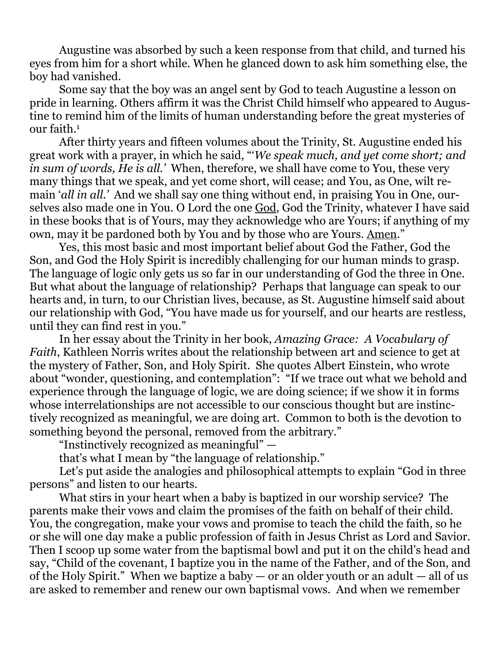Augustine was absorbed by such a keen response from that child, and turned his eyes from him for a short while. When he glanced down to ask him something else, the boy had vanished.

 Some say that the boy was an angel sent by God to teach Augustine a lesson on pride in learning. Others affirm it was the Christ Child himself who appeared to Augustine to remind him of the limits of human understanding before the great mysteries of our faith.<sup>1</sup>

 After thirty years and fifteen volumes about the Trinity, St. Augustine ended his great work with a prayer, in which he said, "'*We speak much, and yet come short; and in sum of words, He is all.'* When, therefore, we shall have come to You, these very many things that we speak, and yet come short, will cease; and You, as One, wilt remain '*all in all.'* And we shall say one thing without end, in praising You in One, ourselves also made one in You. O Lord the one God, God the Trinity, whatever I have said in these books that is of Yours, may they acknowledge who are Yours; if anything of my own, may it be pardoned both by You and by those who are Yours. Amen."

 Yes, this most basic and most important belief about God the Father, God the Son, and God the Holy Spirit is incredibly challenging for our human minds to grasp. The language of logic only gets us so far in our understanding of God the three in One. But what about the language of relationship? Perhaps that language can speak to our hearts and, in turn, to our Christian lives, because, as St. Augustine himself said about our relationship with God, "You have made us for yourself, and our hearts are restless, until they can find rest in you."

 In her essay about the Trinity in her book, *Amazing Grace: A Vocabulary of Faith*, Kathleen Norris writes about the relationship between art and science to get at the mystery of Father, Son, and Holy Spirit. She quotes Albert Einstein, who wrote about "wonder, questioning, and contemplation": "If we trace out what we behold and experience through the language of logic, we are doing science; if we show it in forms whose interrelationships are not accessible to our conscious thought but are instinctively recognized as meaningful, we are doing art. Common to both is the devotion to something beyond the personal, removed from the arbitrary."

"Instinctively recognized as meaningful" —

that's what I mean by "the language of relationship."

 Let's put aside the analogies and philosophical attempts to explain "God in three persons" and listen to our hearts.

 What stirs in your heart when a baby is baptized in our worship service? The parents make their vows and claim the promises of the faith on behalf of their child. You, the congregation, make your vows and promise to teach the child the faith, so he or she will one day make a public profession of faith in Jesus Christ as Lord and Savior. Then I scoop up some water from the baptismal bowl and put it on the child's head and say, "Child of the covenant, I baptize you in the name of the Father, and of the Son, and of the Holy Spirit." When we baptize a baby  $-$  or an older youth or an adult  $-$  all of us are asked to remember and renew our own baptismal vows. And when we remember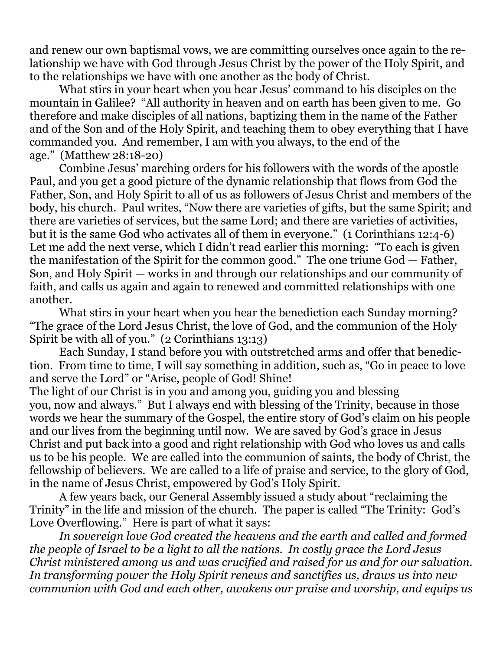and renew our own baptismal vows, we are committing ourselves once again to the relationship we have with God through Jesus Christ by the power of the Holy Spirit, and to the relationships we have with one another as the body of Christ.

 What stirs in your heart when you hear Jesus' command to his disciples on the mountain in Galilee? "All authority in heaven and on earth has been given to me. Go therefore and make disciples of all nations, baptizing them in the name of the Father and of the Son and of the Holy Spirit, and teaching them to obey everything that I have commanded you. And remember, I am with you always, to the end of the age." (Matthew 28:18-20)

 Combine Jesus' marching orders for his followers with the words of the apostle Paul, and you get a good picture of the dynamic relationship that flows from God the Father, Son, and Holy Spirit to all of us as followers of Jesus Christ and members of the body, his church. Paul writes, "Now there are varieties of gifts, but the same Spirit; and there are varieties of services, but the same Lord; and there are varieties of activities, but it is the same God who activates all of them in everyone." (1 Corinthians 12:4-6) Let me add the next verse, which I didn't read earlier this morning: "To each is given the manifestation of the Spirit for the common good." The one triune God — Father, Son, and Holy Spirit — works in and through our relationships and our community of faith, and calls us again and again to renewed and committed relationships with one another.

 What stirs in your heart when you hear the benediction each Sunday morning? "The grace of the Lord Jesus Christ, the love of God, and the communion of the Holy Spirit be with all of you." (2 Corinthians 13:13)

 Each Sunday, I stand before you with outstretched arms and offer that benediction. From time to time, I will say something in addition, such as, "Go in peace to love and serve the Lord" or "Arise, people of God! Shine!

The light of our Christ is in you and among you, guiding you and blessing you, now and always." But I always end with blessing of the Trinity, because in those words we hear the summary of the Gospel, the entire story of God's claim on his people and our lives from the beginning until now. We are saved by God's grace in Jesus Christ and put back into a good and right relationship with God who loves us and calls us to be his people. We are called into the communion of saints, the body of Christ, the fellowship of believers. We are called to a life of praise and service, to the glory of God, in the name of Jesus Christ, empowered by God's Holy Spirit.

 A few years back, our General Assembly issued a study about "reclaiming the Trinity" in the life and mission of the church. The paper is called "The Trinity: God's Love Overflowing." Here is part of what it says:

*In sovereign love God created the heavens and the earth and called and formed the people of Israel to be a light to all the nations. In costly grace the Lord Jesus Christ ministered among us and was crucified and raised for us and for our salvation. In transforming power the Holy Spirit renews and sanctifies us, draws us into new communion with God and each other, awakens our praise and worship, and equips us*